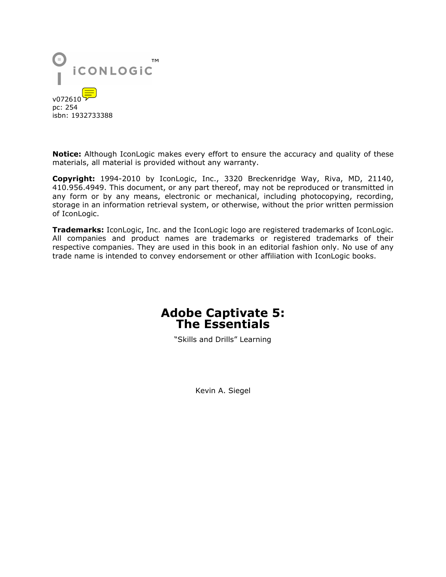

**Notice:** Although IconLogic makes every effort to ensure the accuracy and quality of these materials, all material is provided without any warranty.

**Copyright:** 1994-2010 by IconLogic, Inc., 3320 Breckenridge Way, Riva, MD, 21140, 410.956.4949. This document, or any part thereof, may not be reproduced or transmitted in any form or by any means, electronic or mechanical, including photocopying, recording, storage in an information retrieval system, or otherwise, without the prior written permission of IconLogic.

**Trademarks:** IconLogic, Inc. and the IconLogic logo are registered trademarks of IconLogic. All companies and product names are trademarks or registered trademarks of their respective companies. They are used in this book in an editorial fashion only. No use of any trade name is intended to convey endorsement or other affiliation with IconLogic books.

# **Adobe Captivate 5: The Essentials**

"Skills and Drills" Learning

Kevin A. Siegel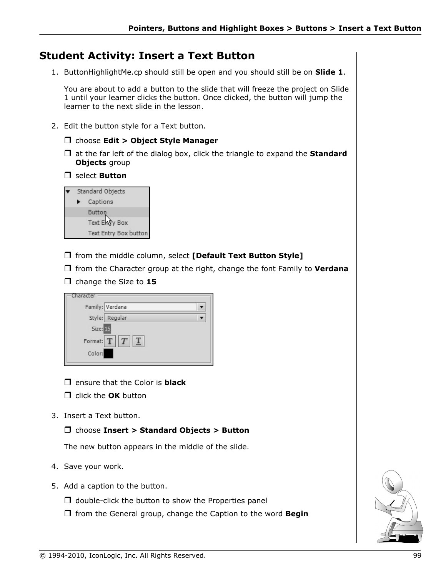## **Student Activity: Insert a Text Button**

1. ButtonHighlightMe.cp should still be open and you should still be on **Slide 1**.

You are about to add a button to the slide that will freeze the project on Slide 1 until your learner clicks the button. Once clicked, the button will jump the learner to the next slide in the lesson.

- 2. Edit the button style for a Text button.
	- choose **Edit > Object Style Manager**
	- at the far left of the dialog box, click the triangle to expand the **Standard Objects** group
	- select **Button**

| Standard Objects |                       |
|------------------|-----------------------|
|                  | Captions              |
|                  | Button                |
|                  | Text Enry Box         |
|                  | Text Entry Box button |

- from the middle column, select **[Default Text Button Style]**
- $\Box$  from the Character group at the right, change the font Family to **Verdana**
- $\Box$  change the Size to 15

| Character              |  |
|------------------------|--|
| Family: Verdana        |  |
| Style: Regular         |  |
| Size: 15               |  |
| Format: $T  T  T  T  $ |  |
| Color:                 |  |

- ensure that the Color is **black**
- **C** click the **OK** button
- 3. Insert a Text button.

#### choose **Insert > Standard Objects > Button**

The new button appears in the middle of the slide.

- 4. Save your work.
- 5. Add a caption to the button.
	- $\Box$  double-click the button to show the Properties panel
	- from the General group, change the Caption to the word **Begin**

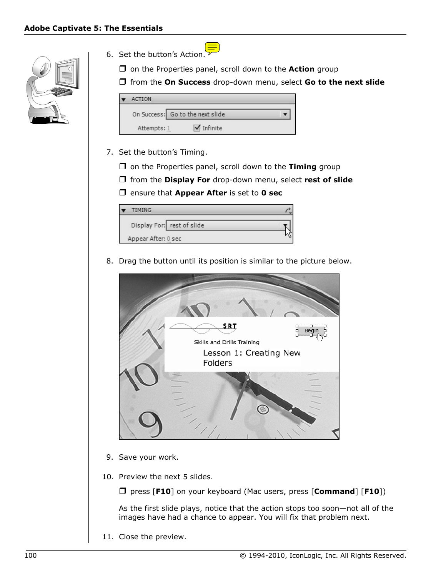

- 6. Set the button's Action.
	- □ on the Properties panel, scroll down to the **Action** group
	- from the **On Success** drop-down menu, select **Go to the next slide**

| <b>ACTION</b>                    |          |  |
|----------------------------------|----------|--|
| On Success: Go to the next slide |          |  |
| Attempts: 1                      | Infinite |  |

- 7. Set the button's Timing.
	- $\Box$  on the Properties panel, scroll down to the **Timing** group
	- from the **Display For** drop-down menu, select **rest of slide**
	- ensure that **Appear After** is set to **0 sec**

| <b>TIMING</b>              |  |
|----------------------------|--|
| Display For: rest of slide |  |
| Appear After: 0 sec        |  |

8. Drag the button until its position is similar to the picture below.



- 9. Save your work.
- 10. Preview the next 5 slides.

press [**F10**] on your keyboard (Mac users, press [**Command**] [**F10**])

As the first slide plays, notice that the action stops too soon—not all of the images have had a chance to appear. You will fix that problem next.

11. Close the preview.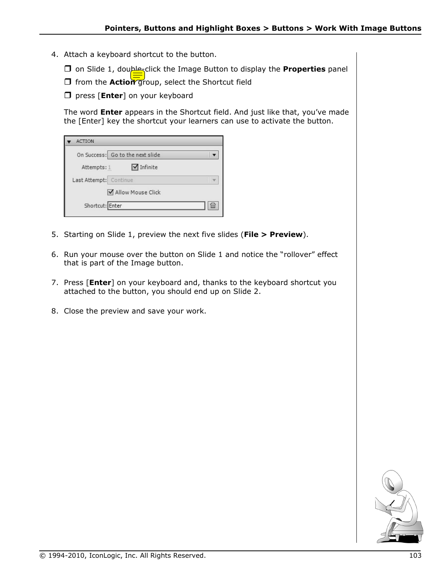- 4. Attach a keyboard shortcut to the button.
	- on Slide 1, double-click the Image Button to display the **Properties** panel
	- **T** from the **Action** group, select the Shortcut field
	- **D** press [**Enter**] on your keyboard

The word **Enter** appears in the Shortcut field. And just like that, you've made the [Enter] key the shortcut your learners can use to activate the button.

| <b>ACTION</b>                          |     |
|----------------------------------------|-----|
| On Success: Go to the next slide       |     |
| $\blacksquare$ Infinite<br>Attempts: 1 |     |
| Last Attempt: Continue                 |     |
| Allow Mouse Click                      |     |
| Shortcut: Enter                        | íπi |

- 5. Starting on Slide 1, preview the next five slides (**File > Preview**).
- 6. Run your mouse over the button on Slide 1 and notice the "rollover" effect that is part of the Image button.
- 7. Press [**Enter**] on your keyboard and, thanks to the keyboard shortcut you attached to the button, you should end up on Slide 2.
- 8. Close the preview and save your work.

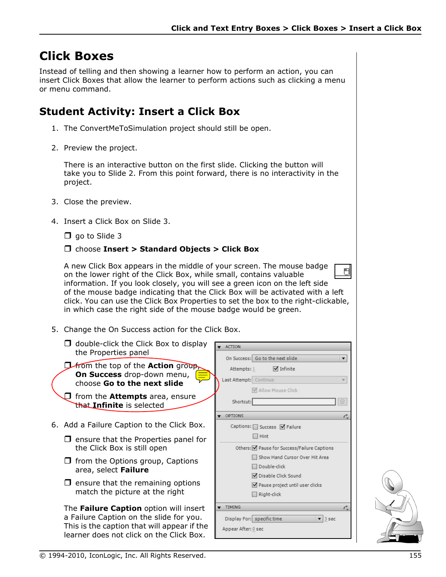# **Click Boxes**

Instead of telling and then showing a learner how to perform an action, you can insert Click Boxes that allow the learner to perform actions such as clicking a menu or menu command.

## **Student Activity: Insert a Click Box**

- 1. The ConvertMeToSimulation project should still be open.
- 2. Preview the project.

There is an interactive button on the first slide. Clicking the button will take you to Slide 2. From this point forward, there is no interactivity in the project.

- 3. Close the preview.
- 4. Insert a Click Box on Slide 3.

 $\Box$  go to Slide 3

### choose **Insert > Standard Objects > Click Box**

A new Click Box appears in the middle of your screen. The mouse badge on the lower right of the Click Box, while small, contains valuable information. If you look closely, you will see a green icon on the left side of the mouse badge indicating that the Click Box will be activated with a left click. You can use the Click Box Properties to set the box to the right-clickable, in which case the right side of the mouse badge would be green.

- 5. Change the On Success action for the Click Box.
- $\Box$  double-click the Click Box to display ACTION the Properties panel On Success: Go to the next slide *D*from the top of the **Action** group Attempts: 1  $\blacksquare$  Infinite **On Success** drop-down menu, Last Attempt: Continue choose **Go to the next slide** Allow Mouse Click **D** from the **Attempts** area, ensure Shortcut: that **Infinite** is selected OPTIONS 6. Add a Failure Caption to the Click Box. Captions: □ Success □ Failure  $\Box$  Hint  $\Box$  ensure that the Properties panel for the Click Box is still open Others: Ø Pause for Success/Failure Captions Show Hand Cursor Over Hit Area  $\Box$  from the Options group, Captions Double-click area, select **Failure Ø** Disable Click Sound  $\Box$  ensure that the remaining options Pause project until user clicks match the picture at the right Right-click **TIMING** The **Failure Caption** option will insert a Failure Caption on the slide for you.  $\sqrt{3}$  sec Display For: specific time This is the caption that will appear if the Appear After: 0 sec learner does not click on the Click Box.



 $\overline{\mathbf{v}}$ 

Ò